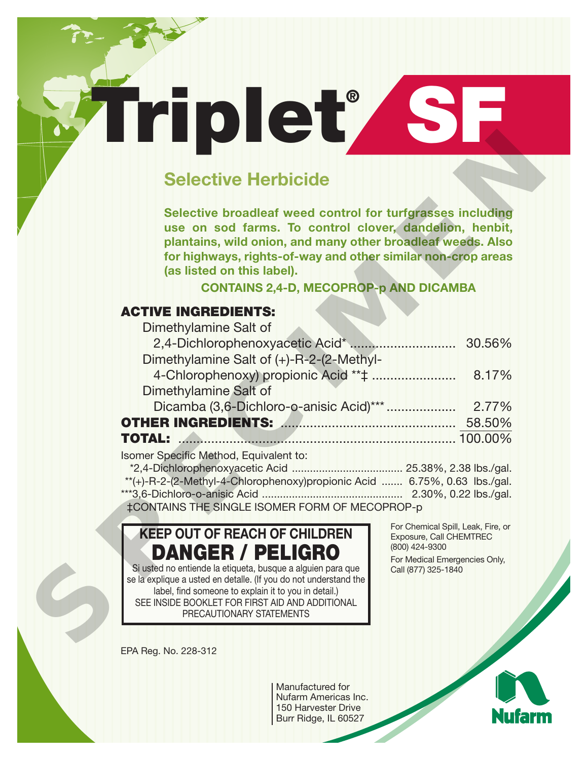# **Selective Herbicide**

**Triplet® SF**

## **ACTIVE INGREDIENTS:**

| <b>Selective Herbicide</b>                                                                                                                                                                                                                                                                                                          |                                                                                                                                         |
|-------------------------------------------------------------------------------------------------------------------------------------------------------------------------------------------------------------------------------------------------------------------------------------------------------------------------------------|-----------------------------------------------------------------------------------------------------------------------------------------|
| Selective broadleaf weed control for turfgrasses including<br>use on sod farms. To control clover, dandelion, henbit,<br>plantains, wild onion, and many other broadleaf weeds. Also<br>for highways, rights-of-way and other similar non-crop areas<br>(as listed on this label).<br><b>CONTAINS 2,4-D, MECOPROP-p AND DICAMBA</b> |                                                                                                                                         |
| <b>ACTIVE INGREDIENTS:</b>                                                                                                                                                                                                                                                                                                          |                                                                                                                                         |
| Dimethylamine Salt of                                                                                                                                                                                                                                                                                                               |                                                                                                                                         |
|                                                                                                                                                                                                                                                                                                                                     |                                                                                                                                         |
| Dimethylamine Salt of (+)-R-2-(2-Methyl-                                                                                                                                                                                                                                                                                            |                                                                                                                                         |
|                                                                                                                                                                                                                                                                                                                                     | 8.17%                                                                                                                                   |
| Dimethylamine Salt of                                                                                                                                                                                                                                                                                                               |                                                                                                                                         |
|                                                                                                                                                                                                                                                                                                                                     |                                                                                                                                         |
|                                                                                                                                                                                                                                                                                                                                     |                                                                                                                                         |
| <b>TOTAL:</b> 2000.00%                                                                                                                                                                                                                                                                                                              |                                                                                                                                         |
| Isomer Specific Method, Equivalent to:<br>**(+)-R-2-(2-Methyl-4-Chlorophenoxy)propionic Acid  6.75%, 0.63 lbs./gal.<br>‡CONTAINS THE SINGLE ISOMER FORM OF MECOPROP-p                                                                                                                                                               |                                                                                                                                         |
| <b>KEEP OUT OF REACH OF CHILDREN</b><br>DANGER / PELIGRO<br>Si usted no entiende la etiqueta, busque a alguien para que<br>se la explique a usted en detalle. (If you do not understand the<br>label, find someone to explain it to you in detail.)<br>SEE INSIDE BOOKLET FOR FIRST AID AND ADDITIONAL<br>PRECAUTIONARY STATEMENTS  | For Chemical Spill, Leak, Fire, or<br>Exposure, Call CHEMTREC<br>(800) 424-9300<br>For Medical Emergencies Only,<br>Call (877) 325-1840 |
|                                                                                                                                                                                                                                                                                                                                     |                                                                                                                                         |

## **KEEP OUT OF REACH OF CHILDREN DANGER / PELIGRO**

EPA Reg. No. 228-312

Manufactured for Nufarm Americas Inc. 150 Harvester Drive Burr Ridge, IL 60527

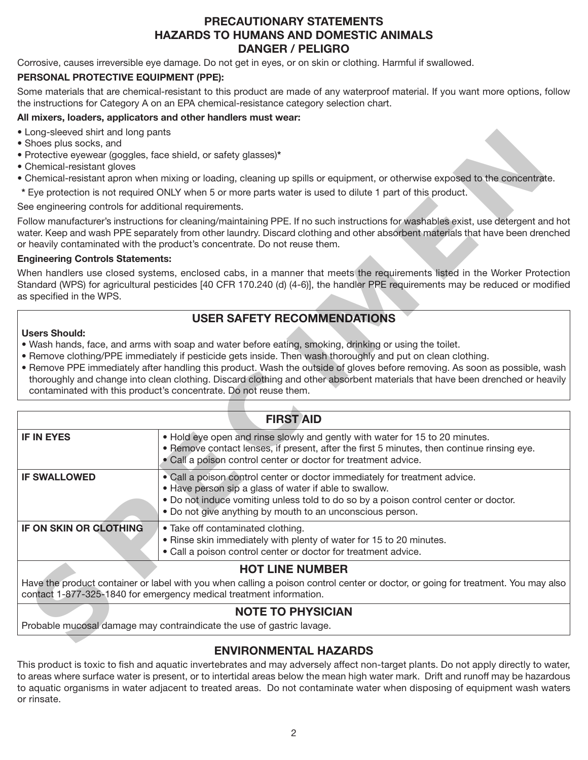## **PRECAUTIONARY STATEMENTS HAZARDS TO HUMANS AND DOMESTIC ANIMALS DANGER / PELIGRO**

Corrosive, causes irreversible eye damage. Do not get in eyes, or on skin or clothing. Harmful if swallowed.

#### **PERSONAL PROTECTIVE EQUIPMENT (PPE):**

Some materials that are chemical-resistant to this product are made of any waterproof material. If you want more options, follow the instructions for Category A on an EPA chemical-resistance category selection chart.

#### **All mixers, loaders, applicators and other handlers must wear:**

- Long-sleeved shirt and long pants
- Shoes plus socks, and
- Protective eyewear (goggles, face shield, or safety glasses)**\***
- Chemical-resistant gloves
- Chemical-resistant apron when mixing or loading, cleaning up spills or equipment, or otherwise exposed to the concentrate.
- **\*** Eye protection is not required ONLY when 5 or more parts water is used to dilute 1 part of this product.

#### **Engineering Controls Statements:**

## **USER SAFETY RECOMMENDATIONS**

#### **Users Should:**

- Wash hands, face, and arms with soap and water before eating, smoking, drinking or using the toilet.
- Remove clothing/PPE immediately if pesticide gets inside. Then wash thoroughly and put on clean clothing.
- Remove PPE immediately after handling this product. Wash the outside of gloves before removing. As soon as possible, wash thoroughly and change into clean clothing. Discard clothing and other absorbent materials that have been drenched or heavily contaminated with this product's concentrate. Do not reuse them.

| • Protective eyewear (goggles, face shield, or safety glasses)*                                                                                                                                                                                                                        |                                                                                                                                                                                                                                                                                                                                                                                                                                                                                                                                                          |  |  |  |  |  |  |
|----------------------------------------------------------------------------------------------------------------------------------------------------------------------------------------------------------------------------------------------------------------------------------------|----------------------------------------------------------------------------------------------------------------------------------------------------------------------------------------------------------------------------------------------------------------------------------------------------------------------------------------------------------------------------------------------------------------------------------------------------------------------------------------------------------------------------------------------------------|--|--|--|--|--|--|
| • Chemical-resistant gloves<br>• Chemical-resistant apron when mixing or loading, cleaning up spills or equipment, or otherwise exposed to the concentrate.                                                                                                                            |                                                                                                                                                                                                                                                                                                                                                                                                                                                                                                                                                          |  |  |  |  |  |  |
| * Eye protection is not required ONLY when 5 or more parts water is used to dilute 1 part of this product.                                                                                                                                                                             |                                                                                                                                                                                                                                                                                                                                                                                                                                                                                                                                                          |  |  |  |  |  |  |
| See engineering controls for additional requirements.                                                                                                                                                                                                                                  |                                                                                                                                                                                                                                                                                                                                                                                                                                                                                                                                                          |  |  |  |  |  |  |
|                                                                                                                                                                                                                                                                                        | Follow manufacturer's instructions for cleaning/maintaining PPE. If no such instructions for washables exist, use detergent and hot<br>water. Keep and wash PPE separately from other laundry. Discard clothing and other absorbent materials that have been drenched<br>or heavily contaminated with the product's concentrate. Do not reuse them.                                                                                                                                                                                                      |  |  |  |  |  |  |
| <b>Engineering Controls Statements:</b>                                                                                                                                                                                                                                                |                                                                                                                                                                                                                                                                                                                                                                                                                                                                                                                                                          |  |  |  |  |  |  |
| When handlers use closed systems, enclosed cabs, in a manner that meets the requirements listed in the Worker Protection<br>Standard (WPS) for agricultural pesticides [40 CFR 170.240 (d) (4-6)], the handler PPE requirements may be reduced or modified<br>as specified in the WPS. |                                                                                                                                                                                                                                                                                                                                                                                                                                                                                                                                                          |  |  |  |  |  |  |
| <b>USER SAFETY RECOMMENDATIONS</b>                                                                                                                                                                                                                                                     |                                                                                                                                                                                                                                                                                                                                                                                                                                                                                                                                                          |  |  |  |  |  |  |
| <b>Users Should:</b>                                                                                                                                                                                                                                                                   | . Wash hands, face, and arms with soap and water before eating, smoking, drinking or using the toilet.<br>• Remove clothing/PPE immediately if pesticide gets inside. Then wash thoroughly and put on clean clothing.<br>• Remove PPE immediately after handling this product. Wash the outside of gloves before removing. As soon as possible, wash<br>thoroughly and change into clean clothing. Discard clothing and other absorbent materials that have been drenched or heavily<br>contaminated with this product's concentrate. Do not reuse them. |  |  |  |  |  |  |
| <b>FIRST AID</b>                                                                                                                                                                                                                                                                       |                                                                                                                                                                                                                                                                                                                                                                                                                                                                                                                                                          |  |  |  |  |  |  |
| <b>IF IN EYES</b>                                                                                                                                                                                                                                                                      | . Hold eye open and rinse slowly and gently with water for 15 to 20 minutes.<br>. Remove contact lenses, if present, after the first 5 minutes, then continue rinsing eye.<br>• Call a poison control center or doctor for treatment advice.                                                                                                                                                                                                                                                                                                             |  |  |  |  |  |  |
| <b>IF SWALLOWED</b>                                                                                                                                                                                                                                                                    | · Call a poison control center or doctor immediately for treatment advice.<br>. Have person sip a glass of water if able to swallow.<br>. Do not induce vomiting unless told to do so by a poison control center or doctor.<br>. Do not give anything by mouth to an unconscious person.                                                                                                                                                                                                                                                                 |  |  |  |  |  |  |
| IF ON SKIN OR CLOTHING                                                                                                                                                                                                                                                                 | · Take off contaminated clothing.<br>. Rinse skin immediately with plenty of water for 15 to 20 minutes.<br>• Call a poison control center or doctor for treatment advice.                                                                                                                                                                                                                                                                                                                                                                               |  |  |  |  |  |  |
|                                                                                                                                                                                                                                                                                        | <b>HOT LINE NUMBER</b><br>Have the product container or label with you when calling a poison control center or doctor, or going for treatment. You may also                                                                                                                                                                                                                                                                                                                                                                                              |  |  |  |  |  |  |
| contact 1-877-325-1840 for emergency medical treatment information.                                                                                                                                                                                                                    |                                                                                                                                                                                                                                                                                                                                                                                                                                                                                                                                                          |  |  |  |  |  |  |
| <b>NOTE TO PHYSICIAN</b><br>Probable mucosal damage may contraindicate the use of gastric lavage.                                                                                                                                                                                      |                                                                                                                                                                                                                                                                                                                                                                                                                                                                                                                                                          |  |  |  |  |  |  |
|                                                                                                                                                                                                                                                                                        |                                                                                                                                                                                                                                                                                                                                                                                                                                                                                                                                                          |  |  |  |  |  |  |

#### **NOTE TO PHYSICIAN**

## **ENVIRONMENTAL HAZARDS**

This product is toxic to fish and aquatic invertebrates and may adversely affect non-target plants. Do not apply directly to water, to areas where surface water is present, or to intertidal areas below the mean high water mark. Drift and runoff may be hazardous to aquatic organisms in water adjacent to treated areas. Do not contaminate water when disposing of equipment wash waters or rinsate.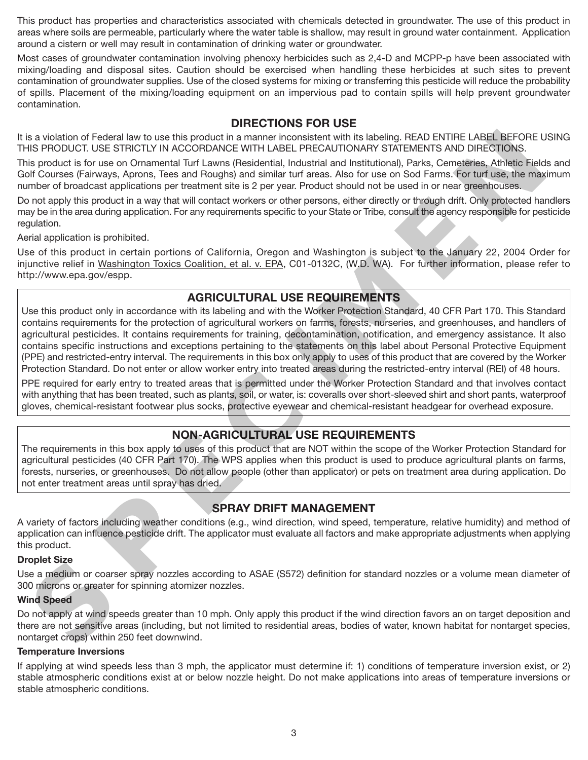This product has properties and characteristics associated with chemicals detected in groundwater. The use of this product in areas where soils are permeable, particularly where the water table is shallow, may result in ground water containment. Application around a cistern or well may result in contamination of drinking water or groundwater.

Most cases of groundwater contamination involving phenoxy herbicides such as 2,4-D and MCPP-p have been associated with mixing/loading and disposal sites. Caution should be exercised when handling these herbicides at such sites to prevent contamination of groundwater supplies. Use of the closed systems for mixing or transferring this pesticide will reduce the probability of spills. Placement of the mixing/loading equipment on an impervious pad to contain spills will help prevent groundwater contamination.

### **DIRECTIONS FOR USE**

It is a violation of Federal law to use this product in a manner inconsistent with its labeling. READ ENTIRE LABEL BEFORE USING THIS PRODUCT. USE STRICTLY IN ACCORDANCE WITH LABEL PRECAUTIONARY STATEMENTS AND DIRECTIONS.

This product is for use on Ornamental Turf Lawns (Residential, Industrial and Institutional), Parks, Cemeteries, Athletic Fields and Golf Courses (Fairways, Aprons, Tees and Roughs) and similar turf areas. Also for use on Sod Farms. For turf use, the maximum number of broadcast applications per treatment site is 2 per year. Product should not be used in or near greenhouses.

Do not apply this product in a way that will contact workers or other persons, either directly or through drift. Only protected handlers may be in the area during application. For any requirements specific to your State or Tribe, consult the agency responsible for pesticide regulation.

Aerial application is prohibited.

Use of this product in certain portions of California, Oregon and Washington is subject to the January 22, 2004 Order for injunctive relief in Washington Toxics Coalition, et al. v. EPA, C01-0132C, (W.D. WA). For further information, please refer to http://www.epa.gov/espp.

### **AGRICULTURAL USE REQUIREMENTS**

Use this product only in accordance with its labeling and with the Worker Protection Standard, 40 CFR Part 170. This Standard contains requirements for the protection of agricultural workers on farms, forests, nurseries, and greenhouses, and handlers of agricultural pesticides. It contains requirements for training, decontamination, notification, and emergency assistance. It also contains specific instructions and exceptions pertaining to the statements on this label about Personal Protective Equipment (PPE) and restricted-entry interval. The requirements in this box only apply to uses of this product that are covered by the Worker Protection Standard. Do not enter or allow worker entry into treated areas during the restricted-entry interval (REI) of 48 hours. Its PHOLICE. USE SHIGHLY IN A CCOHOLANCE WITH LABEL PHECAUTIONALY SIX RIENEATS<br>In product is for use on Ornumental Turf Lawns (Residential, industrial and institutional). Parks, Centralizes, ANIFELIONS<br>in product is for us

PPE required for early entry to treated areas that is permitted under the Worker Protection Standard and that involves contact with anything that has been treated, such as plants, soil, or water, is: coveralls over short-sleeved shirt and short pants, waterproof gloves, chemical-resistant footwear plus socks, protective eyewear and chemical-resistant headgear for overhead exposure.

## **NON-AGRICULTURAL USE REQUIREMENTS**

The requirements in this box apply to uses of this product that are NOT within the scope of the Worker Protection Standard for agricultural pesticides (40 CFR Part 170). The WPS applies when this product is used to produce agricultural plants on farms, forests, nurseries, or greenhouses. Do not allow people (other than applicator) or pets on treatment area during application. Do not enter treatment areas until spray has dried.

## **SPRAY DRIFT MANAGEMENT**

A variety of factors including weather conditions (e.g., wind direction, wind speed, temperature, relative humidity) and method of application can influence pesticide drift. The applicator must evaluate all factors and make appropriate adjustments when applying this product.

#### **Droplet Size**

Use a medium or coarser spray nozzles according to ASAE (S572) definition for standard nozzles or a volume mean diameter of 300 microns or greater for spinning atomizer nozzles.

#### **Wind Speed**

Do not apply at wind speeds greater than 10 mph. Only apply this product if the wind direction favors an on target deposition and there are not sensitive areas (including, but not limited to residential areas, bodies of water, known habitat for nontarget species, nontarget crops) within 250 feet downwind.

#### **Temperature Inversions**

If applying at wind speeds less than 3 mph, the applicator must determine if: 1) conditions of temperature inversion exist, or 2) stable atmospheric conditions exist at or below nozzle height. Do not make applications into areas of temperature inversions or stable atmospheric conditions.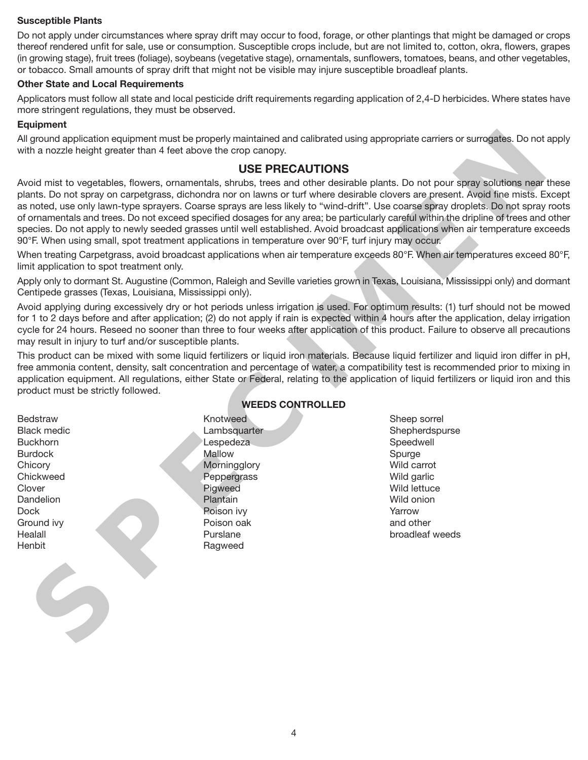#### **Susceptible Plants**

Do not apply under circumstances where spray drift may occur to food, forage, or other plantings that might be damaged or crops thereof rendered unfit for sale, use or consumption. Susceptible crops include, but are not limited to, cotton, okra, flowers, grapes (in growing stage), fruit trees (foliage), soybeans (vegetative stage), ornamentals, sunflowers, tomatoes, beans, and other vegetables, or tobacco. Small amounts of spray drift that might not be visible may injure susceptible broadleaf plants.

#### **Other State and Local Requirements**

Applicators must follow all state and local pesticide drift requirements regarding application of 2,4-D herbicides. Where states have more stringent regulations, they must be observed.

#### **Equipment**

All ground application equipment must be properly maintained and calibrated using appropriate carriers or surrogates. Do not apply with a nozzle height greater than 4 feet above the crop canopy.

#### **USE PRECAUTIONS**

Avoid mist to vegetables, flowers, ornamentals, shrubs, trees and other desirable plants. Do not pour spray solutions near these plants. Do not spray on carpetgrass, dichondra nor on lawns or turf where desirable clovers are present. Avoid fine mists. Except as noted, use only lawn-type sprayers. Coarse sprays are less likely to "wind-drift". Use coarse spray droplets. Do not spray roots of ornamentals and trees. Do not exceed specified dosages for any area; be particularly careful within the dripline of trees and other species. Do not apply to newly seeded grasses until well established. Avoid broadcast applications when air temperature exceeds 90°F. When using small, spot treatment applications in temperature over 90°F, turf injury may occur. this nozzle height greater than 4 feet above the crop carrery.<br>
SUSE PRECAUTIONS<br>
cold mist to vegetables, flowes, remembed, showes, remembed by the winter distribution of the state of the state of the coll of the collecti

When treating Carpetgrass, avoid broadcast applications when air temperature exceeds 80°F. When air temperatures exceed 80°F, limit application to spot treatment only.

Apply only to dormant St. Augustine (Common, Raleigh and Seville varieties grown in Texas, Louisiana, Mississippi only) and dormant Centipede grasses (Texas, Louisiana, Mississippi only).

Avoid applying during excessively dry or hot periods unless irrigation is used. For optimum results: (1) turf should not be mowed for 1 to 2 days before and after application; (2) do not apply if rain is expected within 4 hours after the application, delay irrigation cycle for 24 hours. Reseed no sooner than three to four weeks after application of this product. Failure to observe all precautions may result in injury to turf and/or susceptible plants.

This product can be mixed with some liquid fertilizers or liquid iron materials. Because liquid fertilizer and liquid iron differ in pH, free ammonia content, density, salt concentration and percentage of water, a compatibility test is recommended prior to mixing in application equipment. All regulations, either State or Federal, relating to the application of liquid fertilizers or liquid iron and this product must be strictly followed.

**Bedstraw** Black medic Buckhorn Burdock **Chicory Chickweed Clover Dandelion** Dock Ground ivy Healall **Henbit** 

#### **WEEDS CONTROLLED**

Knotweed Lambsquarter Lespedeza Mallow **Morningglory Peppergrass** Pigweed Plantain Poison ivy Poison oak Purslane Ragweed

Sheep sorrel Shepherdspurse Speedwell Spurge Wild carrot Wild garlic Wild lettuce Wild onion Yarrow and other broadleaf weeds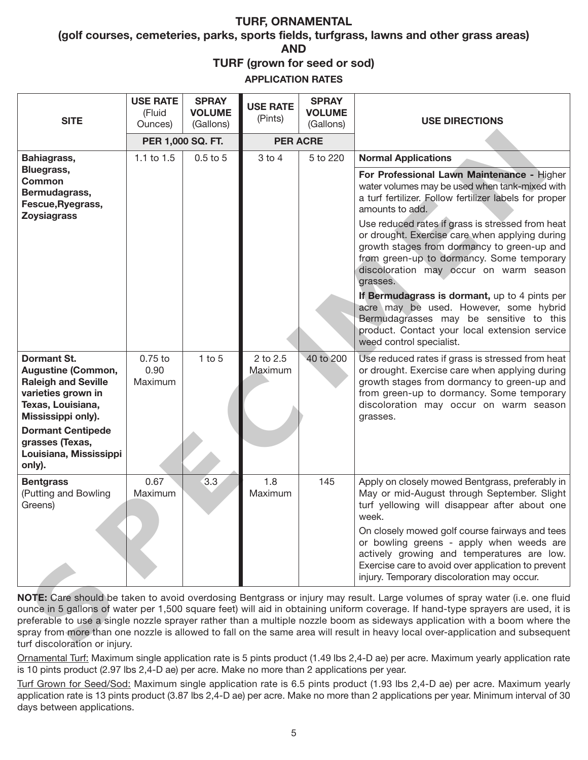## **TURF, ORNAMENTAL**

**(golf courses, cemeteries, parks, sports fields, turfgrass, lawns and other grass areas) AND**

**TURF (grown for seed or sod)**

**APPLICATION RATES**

| <b>SITE</b>                                                                                                                                                                                                                                                                                                                                                                                                                                                                                                                                                      | <b>USE RATE</b><br>(Fluid<br>Ounces) | <b>SPRAY</b><br><b>VOLUME</b><br>(Gallons) | <b>USE RATE</b><br>(Pints) | <b>SPRAY</b><br><b>VOLUME</b><br>(Gallons) | <b>USE DIRECTIONS</b>                                                                                                                                                                                                                                |
|------------------------------------------------------------------------------------------------------------------------------------------------------------------------------------------------------------------------------------------------------------------------------------------------------------------------------------------------------------------------------------------------------------------------------------------------------------------------------------------------------------------------------------------------------------------|--------------------------------------|--------------------------------------------|----------------------------|--------------------------------------------|------------------------------------------------------------------------------------------------------------------------------------------------------------------------------------------------------------------------------------------------------|
|                                                                                                                                                                                                                                                                                                                                                                                                                                                                                                                                                                  | PER 1,000 SQ. FT.                    |                                            | <b>PER ACRE</b>            |                                            |                                                                                                                                                                                                                                                      |
| Bahiagrass,<br>Bluegrass,                                                                                                                                                                                                                                                                                                                                                                                                                                                                                                                                        | 1.1 to 1.5                           | 0.5 to 5                                   | $3$ to $4$                 | 5 to 220                                   | <b>Normal Applications</b><br>For Professional Lawn Maintenance - Higher                                                                                                                                                                             |
| <b>Common</b><br>Bermudagrass,<br>Fescue, Ryegrass,<br><b>Zoysiagrass</b>                                                                                                                                                                                                                                                                                                                                                                                                                                                                                        |                                      |                                            |                            |                                            | water volumes may be used when tank-mixed with<br>a turf fertilizer. Follow fertilizer labels for proper<br>amounts to add.                                                                                                                          |
|                                                                                                                                                                                                                                                                                                                                                                                                                                                                                                                                                                  |                                      |                                            |                            |                                            | Use reduced rates if grass is stressed from heat<br>or drought. Exercise care when applying during<br>growth stages from dormancy to green-up and<br>from green-up to dormancy. Some temporary<br>discoloration may occur on warm season<br>grasses. |
|                                                                                                                                                                                                                                                                                                                                                                                                                                                                                                                                                                  |                                      |                                            |                            |                                            | If Bermudagrass is dormant, up to 4 pints per<br>acre may be used. However, some hybrid<br>Bermudagrasses may be sensitive to this<br>product. Contact your local extension service<br>weed control specialist.                                      |
| <b>Dormant St.</b><br><b>Augustine (Common,</b><br><b>Raleigh and Seville</b><br>varieties grown in<br>Texas, Louisiana,<br>Mississippi only).                                                                                                                                                                                                                                                                                                                                                                                                                   | $0.75$ to<br>0.90<br>Maximum         | $1$ to $5$                                 | 2 to 2.5<br>Maximum        | 40 to 200                                  | Use reduced rates if grass is stressed from heat<br>or drought. Exercise care when applying during<br>growth stages from dormancy to green-up and<br>from green-up to dormancy. Some temporary<br>discoloration may occur on warm season<br>grasses. |
| <b>Dormant Centipede</b><br>grasses (Texas,<br>Louisiana, Mississippi<br>only).                                                                                                                                                                                                                                                                                                                                                                                                                                                                                  |                                      |                                            |                            |                                            |                                                                                                                                                                                                                                                      |
| <b>Bentgrass</b><br>(Putting and Bowling<br>Greens)                                                                                                                                                                                                                                                                                                                                                                                                                                                                                                              | 0.67<br>Maximum                      | 3.3                                        | 1.8<br>Maximum             | 145                                        | Apply on closely mowed Bentgrass, preferably in<br>May or mid-August through September. Slight<br>turf yellowing will disappear after about one<br>week.                                                                                             |
|                                                                                                                                                                                                                                                                                                                                                                                                                                                                                                                                                                  |                                      |                                            |                            |                                            | On closely mowed golf course fairways and tees<br>or bowling greens - apply when weeds are<br>actively growing and temperatures are low.<br>Exercise care to avoid over application to prevent<br>injury. Temporary discoloration may occur.         |
| NOTE: Care should be taken to avoid overdosing Bentgrass or injury may result. Large volumes of spray water (i.e. one fluid<br>ounce in 5 gallons of water per 1,500 square feet) will aid in obtaining uniform coverage. If hand-type sprayers are used, it is<br>preferable to use a single nozzle sprayer rather than a multiple nozzle boom as sideways application with a boom where the<br>spray from more than one nozzle is allowed to fall on the same area will result in heavy local over-application and subsequent<br>turf discoloration or injury. |                                      |                                            |                            |                                            |                                                                                                                                                                                                                                                      |

Ornamental Turf: Maximum single application rate is 5 pints product (1.49 lbs 2,4-D ae) per acre. Maximum yearly application rate is 10 pints product (2.97 lbs 2,4-D ae) per acre. Make no more than 2 applications per year.

Turf Grown for Seed/Sod: Maximum single application rate is 6.5 pints product (1.93 lbs 2,4-D ae) per acre. Maximum yearly application rate is 13 pints product (3.87 lbs 2,4-D ae) per acre. Make no more than 2 applications per year. Minimum interval of 30 days between applications.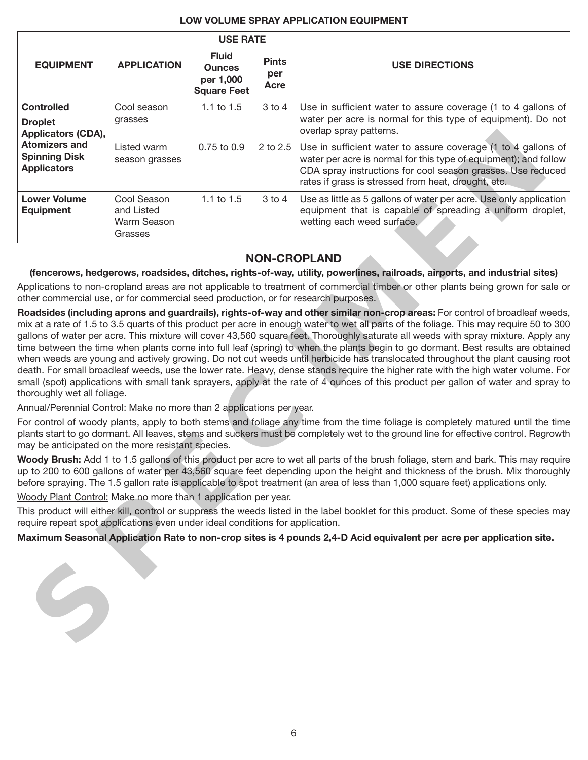#### **LOW VOLUME SPRAY APPLICATION EQUIPMENT**

|                                                                                                                                                                                                                       |                                                                  | <b>USE RATE</b>             |                                                                                                                                                          |                                                                                                                                                                                                                                                                                                                                                                                                                                                                                                                                                                                                                                                                                     |  |  |
|-----------------------------------------------------------------------------------------------------------------------------------------------------------------------------------------------------------------------|------------------------------------------------------------------|-----------------------------|----------------------------------------------------------------------------------------------------------------------------------------------------------|-------------------------------------------------------------------------------------------------------------------------------------------------------------------------------------------------------------------------------------------------------------------------------------------------------------------------------------------------------------------------------------------------------------------------------------------------------------------------------------------------------------------------------------------------------------------------------------------------------------------------------------------------------------------------------------|--|--|
| <b>EQUIPMENT</b><br><b>APPLICATION</b>                                                                                                                                                                                | <b>Fluid</b><br><b>Ounces</b><br>per 1,000<br><b>Square Feet</b> | <b>Pints</b><br>per<br>Acre | <b>USE DIRECTIONS</b>                                                                                                                                    |                                                                                                                                                                                                                                                                                                                                                                                                                                                                                                                                                                                                                                                                                     |  |  |
| <b>Controlled</b><br>Cool season<br>grasses<br><b>Droplet</b><br>Applicators (CDA),<br><b>Atomizers and</b><br>Listed warm<br><b>Spinning Disk</b><br>season grasses<br><b>Applicators</b>                            | 1.1 to 1.5                                                       | $3$ to $4$                  | Use in sufficient water to assure coverage (1 to 4 gallons of<br>water per acre is normal for this type of equipment). Do not<br>overlap spray patterns. |                                                                                                                                                                                                                                                                                                                                                                                                                                                                                                                                                                                                                                                                                     |  |  |
|                                                                                                                                                                                                                       |                                                                  | 0.75 to 0.9                 | 2 to 2.5                                                                                                                                                 | Use in sufficient water to assure coverage (1 to 4 gallons of<br>water per acre is normal for this type of equipment); and follow<br>CDA spray instructions for cool season grasses. Use reduced<br>rates if grass is stressed from heat, drought, etc.                                                                                                                                                                                                                                                                                                                                                                                                                             |  |  |
| <b>Lower Volume</b><br><b>Equipment</b>                                                                                                                                                                               | Cool Season<br>and Listed<br>Warm Season<br>Grasses              | 1.1 to 1.5                  | $3$ to $4$                                                                                                                                               | Use as little as 5 gallons of water per acre. Use only application<br>equipment that is capable of spreading a uniform droplet,<br>wetting each weed surface.                                                                                                                                                                                                                                                                                                                                                                                                                                                                                                                       |  |  |
| <b>NON-CROPLAND</b>                                                                                                                                                                                                   |                                                                  |                             |                                                                                                                                                          |                                                                                                                                                                                                                                                                                                                                                                                                                                                                                                                                                                                                                                                                                     |  |  |
|                                                                                                                                                                                                                       |                                                                  |                             |                                                                                                                                                          | (fencerows, hedgerows, roadsides, ditches, rights-of-way, utility, powerlines, railroads, airports, and industrial sites)                                                                                                                                                                                                                                                                                                                                                                                                                                                                                                                                                           |  |  |
|                                                                                                                                                                                                                       |                                                                  |                             |                                                                                                                                                          | Applications to non-cropland areas are not applicable to treatment of commercial timber or other plants being grown for sale or                                                                                                                                                                                                                                                                                                                                                                                                                                                                                                                                                     |  |  |
| other commercial use, or for commercial seed production, or for research purposes.                                                                                                                                    |                                                                  |                             |                                                                                                                                                          |                                                                                                                                                                                                                                                                                                                                                                                                                                                                                                                                                                                                                                                                                     |  |  |
|                                                                                                                                                                                                                       |                                                                  |                             |                                                                                                                                                          | Roadsides (including aprons and guardrails), rights-of-way and other similar non-crop areas: For control of broadleaf weeds,<br>mix at a rate of 1.5 to 3.5 quarts of this product per acre in enough water to wet all parts of the foliage. This may require 50 to 300                                                                                                                                                                                                                                                                                                                                                                                                             |  |  |
| thoroughly wet all foliage.                                                                                                                                                                                           |                                                                  |                             |                                                                                                                                                          | gallons of water per acre. This mixture will cover 43,560 square feet. Thoroughly saturate all weeds with spray mixture. Apply any<br>time between the time when plants come into full leaf (spring) to when the plants begin to go dormant. Best results are obtained<br>when weeds are young and actively growing. Do not cut weeds until herbicide has translocated throughout the plant causing root<br>death. For small broadleaf weeds, use the lower rate. Heavy, dense stands require the higher rate with the high water volume. For<br>small (spot) applications with small tank sprayers, apply at the rate of 4 ounces of this product per gallon of water and spray to |  |  |
| Annual/Perennial Control: Make no more than 2 applications per year.                                                                                                                                                  |                                                                  |                             |                                                                                                                                                          |                                                                                                                                                                                                                                                                                                                                                                                                                                                                                                                                                                                                                                                                                     |  |  |
| may be anticipated on the more resistant species.                                                                                                                                                                     |                                                                  |                             |                                                                                                                                                          | For control of woody plants, apply to both stems and foliage any time from the time foliage is completely matured until the time<br>plants start to go dormant. All leaves, stems and suckers must be completely wet to the ground line for effective control. Regrowth                                                                                                                                                                                                                                                                                                                                                                                                             |  |  |
|                                                                                                                                                                                                                       |                                                                  |                             |                                                                                                                                                          | Woody Brush: Add 1 to 1.5 gallons of this product per acre to wet all parts of the brush foliage, stem and bark. This may require<br>up to 200 to 600 gallons of water per 43,560 square feet depending upon the height and thickness of the brush. Mix thoroughly<br>before spraying. The 1.5 gallon rate is applicable to spot treatment (an area of less than 1,000 square feet) applications only.                                                                                                                                                                                                                                                                              |  |  |
| Woody Plant Control: Make no more than 1 application per year.                                                                                                                                                        |                                                                  |                             |                                                                                                                                                          |                                                                                                                                                                                                                                                                                                                                                                                                                                                                                                                                                                                                                                                                                     |  |  |
| This product will either kill, control or suppress the weeds listed in the label booklet for this product. Some of these species may<br>require repeat spot applications even under ideal conditions for application. |                                                                  |                             |                                                                                                                                                          |                                                                                                                                                                                                                                                                                                                                                                                                                                                                                                                                                                                                                                                                                     |  |  |
|                                                                                                                                                                                                                       |                                                                  |                             |                                                                                                                                                          | Maximum Seasonal Application Rate to non-crop sites is 4 pounds 2,4-D Acid equivalent per acre per application site.                                                                                                                                                                                                                                                                                                                                                                                                                                                                                                                                                                |  |  |
|                                                                                                                                                                                                                       |                                                                  |                             |                                                                                                                                                          |                                                                                                                                                                                                                                                                                                                                                                                                                                                                                                                                                                                                                                                                                     |  |  |

## **NON-CROPLAND**